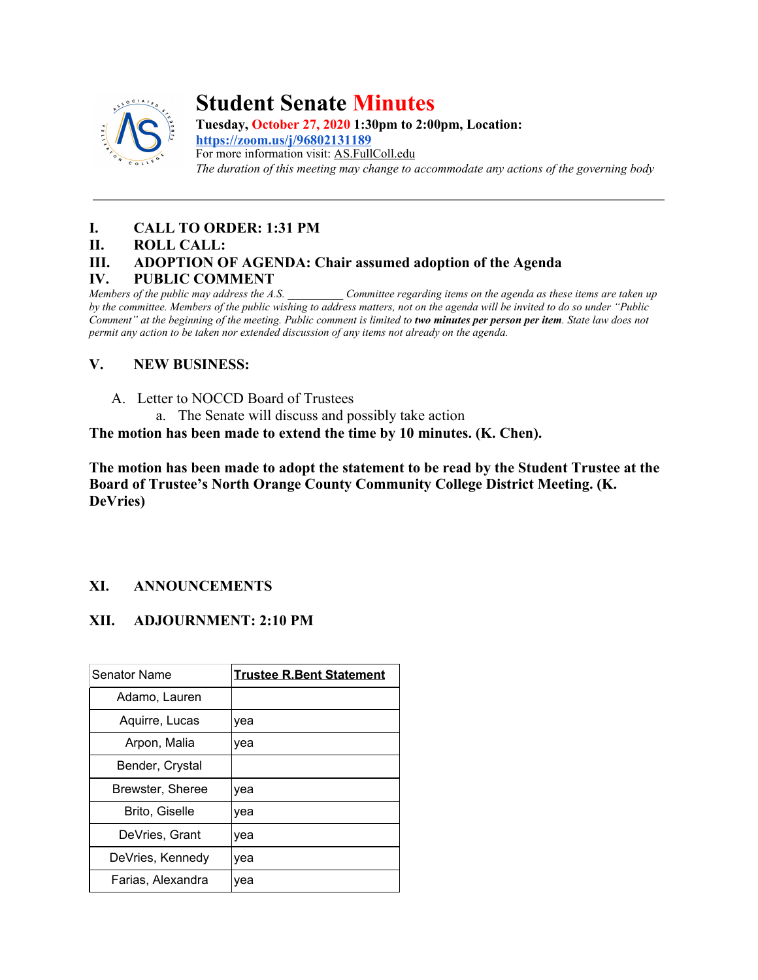

## **Student Senate Minutes**

**Tuesday, October 27, 2020 1:30pm to 2:00pm, Location: <https://zoom.us/j/96802131189>** For more information visit: AS.FullColl.edu *The duration of this meeting may change to accommodate any actions of the governing body*

### **I. CALL TO ORDER: 1:31 PM**

#### **II. ROLL CALL:**

### **III. ADOPTION OF AGENDA: Chair assumed adoption of the Agenda**

# **IV. PUBLIC COMMENT** *Members of the public may address the A.S.*

*Committee regarding items on the agenda as these items are taken up by the committee. Members of the public wishing to address matters, not on the agenda will be invited to do so under "Public Comment" at the beginning of the meeting. Public comment is limited to two minutes per person per item. State law does not permit any action to be taken nor extended discussion of any items not already on the agenda.*

### **V. NEW BUSINESS:**

- A. Letter to NOCCD Board of Trustees
	- a. The Senate will discuss and possibly take action

**The motion has been made to extend the time by 10 minutes. (K. Chen).**

**The motion has been made to adopt the statement to be read by the Student Trustee at the Board of Trustee's North Orange County Community College District Meeting. (K. DeVries)**

### **XI. ANNOUNCEMENTS**

### **XII. ADJOURNMENT: 2:10 PM**

| Senator Name      | <b>Trustee R.Bent Statement</b> |
|-------------------|---------------------------------|
| Adamo, Lauren     |                                 |
| Aquirre, Lucas    | yea                             |
| Arpon, Malia      | yea                             |
| Bender, Crystal   |                                 |
| Brewster, Sheree  | yea                             |
| Brito, Giselle    | yea                             |
| DeVries, Grant    | yea                             |
| DeVries, Kennedy  | yea                             |
| Farias, Alexandra | vea                             |